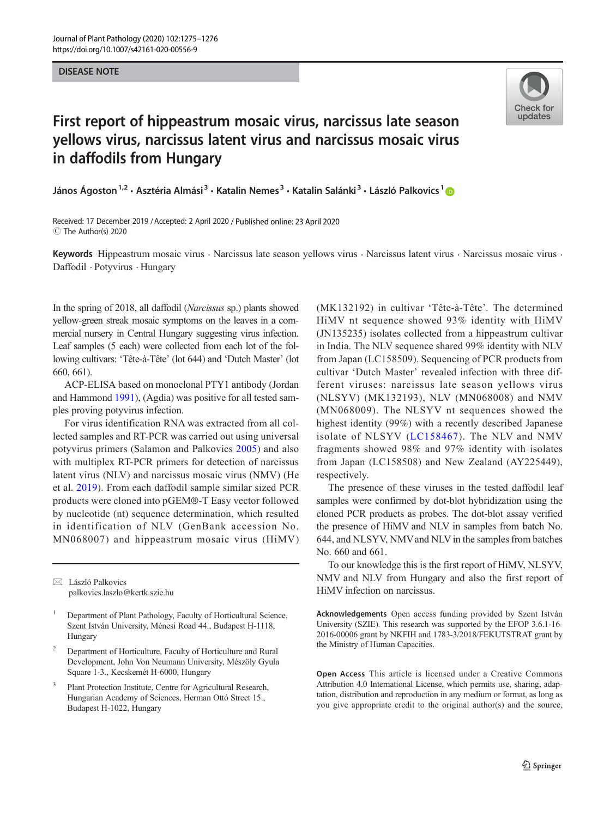## **DISEASE NOTE** DISEASE NOTE



## First report of hippeastrum mosaic virus, narcissus late season yellows virus, narcissus latent virus and narcissus mosaic virus in daffodils from Hungary

János Ágoston<sup>1,2</sup> • Asztéria Almási<sup>3</sup> • Katalin Nemes<sup>3</sup> • Katalin Salánki<sup>3</sup> • László Palkovics<sup>1</sup> D

Received: 17 December 2019 /Accepted: 2 April 2020 / Published online: 23 April 2020  $\circledcirc$  The Author(s) 2020

Keywords Hippeastrum mosaic virus · Narcissus late season yellows virus · Narcissus latent virus · Narcissus mosaic virus · Daffodil . Potyvirus . Hungary

In the spring of 2018, all daffodil (Narcissus sp.) plants showed yellow-green streak mosaic symptoms on the leaves in a commercial nursery in Central Hungary suggesting virus infection. Leaf samples (5 each) were collected from each lot of the following cultivars: 'Tête-à-Tête' (lot 644) and 'Dutch Master' (lot 660, 661).

ACP-ELISA based on monoclonal PTY1 antibody (Jordan and Hammond [1991](#page-1-0)), (Agdia) was positive for all tested samples proving potyvirus infection.

For virus identification RNA was extracted from all collected samples and RT-PCR was carried out using universal potyvirus primers (Salamon and Palkovics [2005\)](#page-1-0) and also with multiplex RT-PCR primers for detection of narcissus latent virus (NLV) and narcissus mosaic virus (NMV) (He et al. [2019](#page-1-0)). From each daffodil sample similar sized PCR products were cloned into pGEM®-T Easy vector followed by nucleotide (nt) sequence determination, which resulted in identification of NLV (GenBank accession No. MN068007) and hippeastrum mosaic virus (HiMV)

 $\boxtimes$  László Palkovics [palkovics.laszlo@kertk.szie.hu](mailto:palkovics.laszlo@kertk.szie.hu)

- <sup>2</sup> Department of Horticulture, Faculty of Horticulture and Rural Development, John Von Neumann University, Mészöly Gyula Square 1-3., Kecskemét H-6000, Hungary
- <sup>3</sup> Plant Protection Institute, Centre for Agricultural Research, Hungarian Academy of Sciences, Herman Ottó Street 15., Budapest H-1022, Hungary

(MK132192) in cultivar 'Tête-à-Tête'. The determined HiMV nt sequence showed 93% identity with HiMV (JN135235) isolates collected from a hippeastrum cultivar in India. The NLV sequence shared 99% identity with NLV from Japan (LC158509). Sequencing of PCR products from cultivar 'Dutch Master' revealed infection with three different viruses: narcissus late season yellows virus (NLSYV) (MK132193), NLV (MN068008) and NMV (MN068009). The NLSYV nt sequences showed the highest identity (99%) with a recently described Japanese isolate of NLSYV ([LC158467\)](http://creativecommons.org/licenses/by/4.0/). The NLV and NMV fragments showed 98% and 97% identity with isolates from Japan (LC158508) and New Zealand (AY225449), respectively.

The presence of these viruses in the tested daffodil leaf samples were confirmed by dot-blot hybridization using the cloned PCR products as probes. The dot-blot assay verified the presence of HiMV and NLV in samples from batch No. 644, and NLSYV, NMVand NLV in the samples from batches No. 660 and 661.

To our knowledge this is the first report of HiMV, NLSYV, NMV and NLV from Hungary and also the first report of HiMV infection on narcissus.

Acknowledgements Open access funding provided by Szent István University (SZIE). This research was supported by the EFOP 3.6.1-16- 2016-00006 grant by NKFIH and 1783-3/2018/FEKUTSTRAT grant by the Ministry of Human Capacities.

Open Access This article is licensed under a Creative Commons Attribution 4.0 International License, which permits use, sharing, adaptation, distribution and reproduction in any medium or format, as long as you give appropriate credit to the original author(s) and the source,

<sup>1</sup> Department of Plant Pathology, Faculty of Horticultural Science, Szent István University, Ménesi Road 44., Budapest H-1118, Hungary